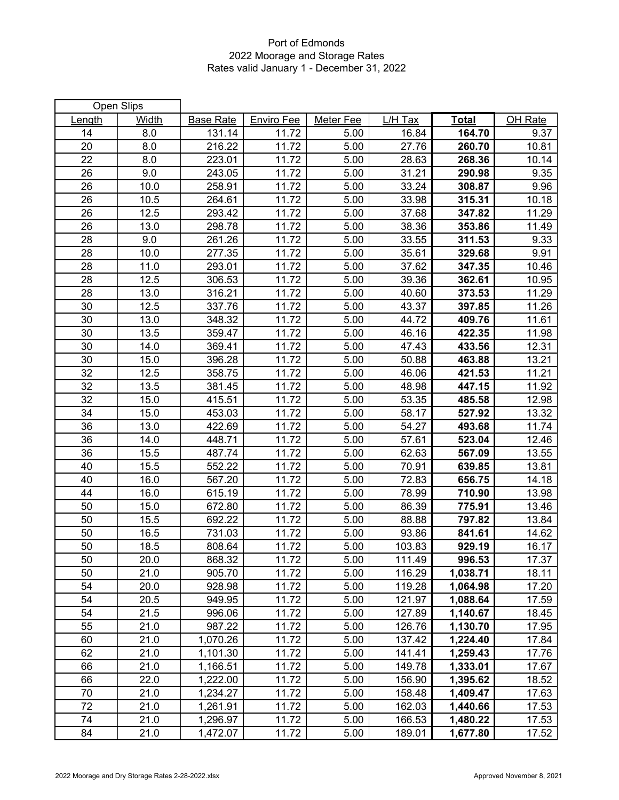## Port of Edmonds 2022 Moorage and Storage Rates Rates valid January 1 - December 31, 2022

| <b>Open Slips</b> |       |                  |                    |           |         |              |         |
|-------------------|-------|------------------|--------------------|-----------|---------|--------------|---------|
| Length            | Width | <b>Base Rate</b> | Enviro Fee         | Meter Fee | L/H Tax | <b>Total</b> | OH Rate |
| 14                | 8.0   | 131.14           | 11.72              | 5.00      | 16.84   | 164.70       | 9.37    |
| 20                | 8.0   | 216.22           | 11.72              | 5.00      | 27.76   | 260.70       | 10.81   |
| 22                | 8.0   | 223.01           | 11.72              | 5.00      | 28.63   | 268.36       | 10.14   |
| 26                | 9.0   | 243.05           | 11.72              | 5.00      | 31.21   | 290.98       | 9.35    |
| 26                | 10.0  | 258.91           | 11.72              | 5.00      | 33.24   | 308.87       | 9.96    |
| 26                | 10.5  | 264.61           | 11.72              | 5.00      | 33.98   | 315.31       | 10.18   |
| 26                | 12.5  | 293.42           | 11.72              | 5.00      | 37.68   | 347.82       | 11.29   |
| 26                | 13.0  | 298.78           | 11.72              | 5.00      | 38.36   | 353.86       | 11.49   |
| 28                | 9.0   | 261.26           | 11.72              | 5.00      | 33.55   | 311.53       | 9.33    |
| 28                | 10.0  | 277.35           | 11.72              | 5.00      | 35.61   | 329.68       | 9.91    |
| 28                | 11.0  | 293.01           | 11.72              | 5.00      | 37.62   | 347.35       | 10.46   |
| 28                | 12.5  | 306.53           | 11.72              | 5.00      | 39.36   | 362.61       | 10.95   |
| 28                | 13.0  | 316.21           | 11.72              | 5.00      | 40.60   | 373.53       | 11.29   |
| 30                | 12.5  | 337.76           | 11.72              | 5.00      | 43.37   | 397.85       | 11.26   |
| 30                | 13.0  | 348.32           | 11.72              | 5.00      | 44.72   | 409.76       | 11.61   |
| 30                | 13.5  | 359.47           | 11.72              | 5.00      | 46.16   | 422.35       | 11.98   |
| 30                | 14.0  | 369.41           | $\overline{11.72}$ | 5.00      | 47.43   | 433.56       | 12.31   |
| 30                | 15.0  | 396.28           | 11.72              | 5.00      | 50.88   | 463.88       | 13.21   |
| 32                | 12.5  | 358.75           | 11.72              | 5.00      | 46.06   | 421.53       | 11.21   |
| 32                | 13.5  | 381.45           | 11.72              | 5.00      | 48.98   | 447.15       | 11.92   |
| 32                | 15.0  | 415.51           | 11.72              | 5.00      | 53.35   | 485.58       | 12.98   |
| 34                | 15.0  | 453.03           | 11.72              | 5.00      | 58.17   | 527.92       | 13.32   |
| 36                | 13.0  | 422.69           | 11.72              | 5.00      | 54.27   | 493.68       | 11.74   |
| 36                | 14.0  | 448.71           | 11.72              | 5.00      | 57.61   | 523.04       | 12.46   |
| 36                | 15.5  | 487.74           | 11.72              | 5.00      | 62.63   | 567.09       | 13.55   |
| 40                | 15.5  | 552.22           | 11.72              | 5.00      | 70.91   | 639.85       | 13.81   |
| 40                | 16.0  | 567.20           | 11.72              | 5.00      | 72.83   | 656.75       | 14.18   |
| 44                | 16.0  | 615.19           | 11.72              | 5.00      | 78.99   | 710.90       | 13.98   |
| 50                | 15.0  | 672.80           | 11.72              | 5.00      | 86.39   | 775.91       | 13.46   |
| 50                | 15.5  | 692.22           | 11.72              | 5.00      | 88.88   | 797.82       | 13.84   |
| 50                | 16.5  | 731.03           | 11.72              | 5.00      | 93.86   | 841.61       | 14.62   |
| 50                | 18.5  | 808.64           | 11.72              | 5.00      | 103.83  | 929.19       | 16.17   |
| 50                | 20.0  | 868.32           | 11.72              | 5.00      | 111.49  | 996.53       | 17.37   |
| 50                | 21.0  | 905.70           | 11.72              | 5.00      | 116.29  | 1,038.71     | 18.11   |
| 54                | 20.0  | 928.98           | 11.72              | 5.00      | 119.28  | 1,064.98     | 17.20   |
| 54                | 20.5  | 949.95           | 11.72              | 5.00      | 121.97  | 1,088.64     | 17.59   |
| 54                | 21.5  | 996.06           | 11.72              | 5.00      | 127.89  | 1,140.67     | 18.45   |
| 55                | 21.0  | 987.22           | 11.72              | 5.00      | 126.76  | 1,130.70     | 17.95   |
| 60                | 21.0  | 1,070.26         | 11.72              | 5.00      | 137.42  | 1,224.40     | 17.84   |
| 62                | 21.0  | 1,101.30         | 11.72              | 5.00      | 141.41  | 1,259.43     | 17.76   |
| 66                | 21.0  | 1,166.51         | 11.72              | 5.00      | 149.78  | 1,333.01     | 17.67   |
| 66                | 22.0  | 1,222.00         | 11.72              | 5.00      | 156.90  | 1,395.62     | 18.52   |
| 70                | 21.0  | 1,234.27         | 11.72              | 5.00      | 158.48  | 1,409.47     | 17.63   |
| 72                | 21.0  | 1,261.91         | 11.72              | 5.00      | 162.03  | 1,440.66     | 17.53   |
| 74                | 21.0  | 1,296.97         | 11.72              | 5.00      | 166.53  | 1,480.22     | 17.53   |
| 84                | 21.0  | 1,472.07         | 11.72              | 5.00      | 189.01  | 1,677.80     | 17.52   |